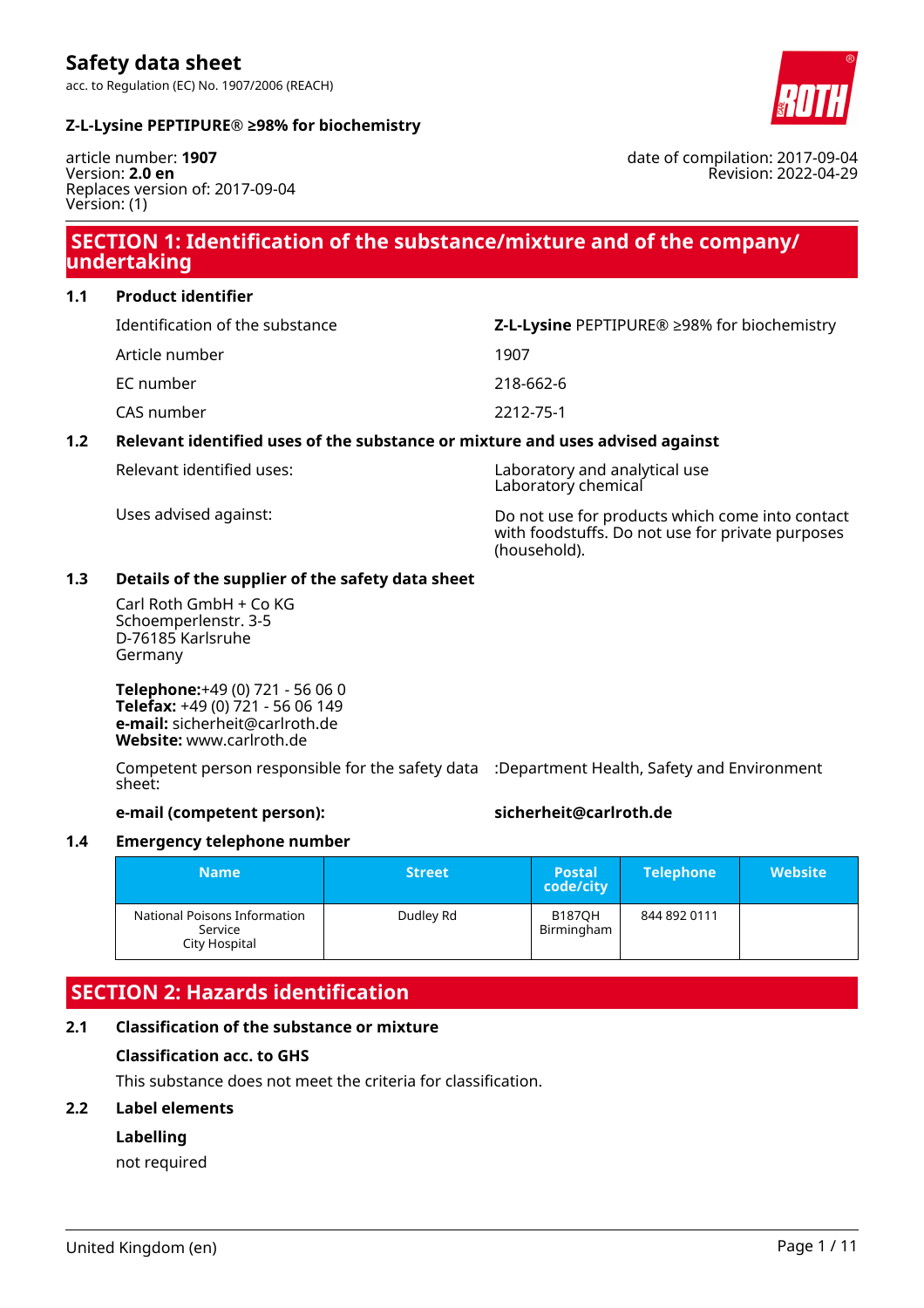



date of compilation: 2017-09-04

Revision: 2022-04-29

article number: **1907** Version: **2.0 en** Replaces version of: 2017-09-04 Version: (1)

# **SECTION 1: Identification of the substance/mixture and of the company/ undertaking**

**1.1 Product identifier**

| Identification of the substance | <b>Z-L-Lysine</b> PEPTIPURE <sup>®</sup> $\geq$ 98% for biochemistry |
|---------------------------------|----------------------------------------------------------------------|
| Article number                  | 1907                                                                 |
| EC number                       | 218-662-6                                                            |
| CAS number                      | 2212-75-1                                                            |
|                                 |                                                                      |

### **1.2 Relevant identified uses of the substance or mixture and uses advised against**

Relevant identified uses: Laboratory and analytical use Laboratory chemical

Uses advised against: Do not use for products which come into contact with foodstuffs. Do not use for private purposes (household).

### **1.3 Details of the supplier of the safety data sheet**

Carl Roth GmbH + Co KG Schoemperlenstr. 3-5 D-76185 Karlsruhe Germany

**Telephone:**+49 (0) 721 - 56 06 0 **Telefax:** +49 (0) 721 - 56 06 149 **e-mail:** sicherheit@carlroth.de **Website:** www.carlroth.de

Competent person responsible for the safety data :Department Health, Safety and Environment sheet:

#### **e-mail (competent person): sicherheit@carlroth.de**

#### **1.4 Emergency telephone number**

| <b>Name</b>                                              | <b>Street</b> | <b>Postal</b><br>code/city  | <b>Telephone</b> | <b>Website</b> |
|----------------------------------------------------------|---------------|-----------------------------|------------------|----------------|
| National Poisons Information<br>Service<br>City Hospital | Dudley Rd     | <b>B187OH</b><br>Birmingham | 844 892 0111     |                |

# **SECTION 2: Hazards identification**

### **2.1 Classification of the substance or mixture**

#### **Classification acc. to GHS**

This substance does not meet the criteria for classification.

#### **2.2 Label elements**

### **Labelling**

not required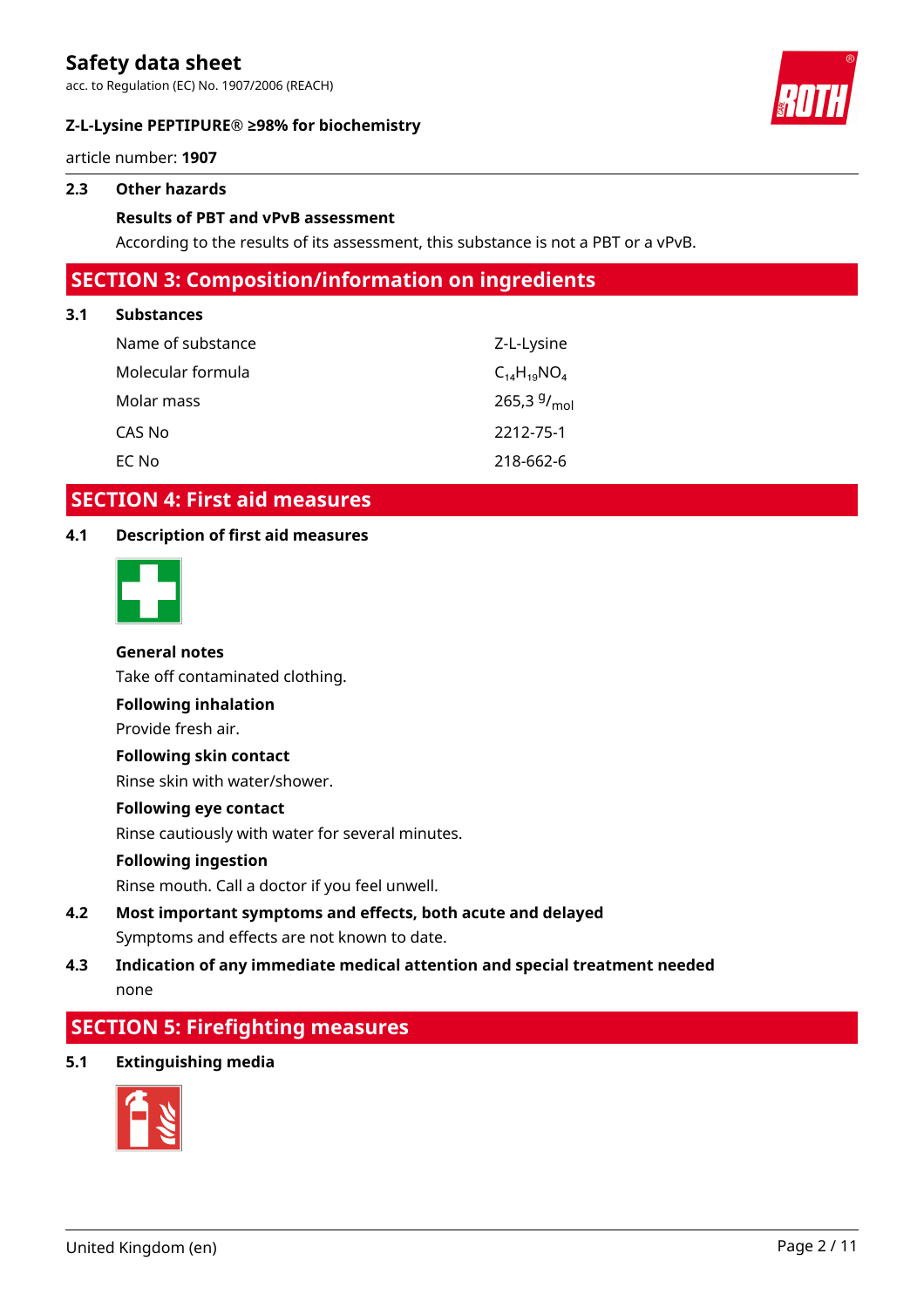acc. to Regulation (EC) No. 1907/2006 (REACH)

#### **Z-L-Lysine PEPTIPURE® ≥98% for biochemistry**



article number: **1907**

#### **2.3 Other hazards**

#### **Results of PBT and vPvB assessment**

According to the results of its assessment, this substance is not a PBT or a vPvB.

# **SECTION 3: Composition/information on ingredients**

#### **3.1 Substances**

| Name of substance | Z-L-Lysine         |
|-------------------|--------------------|
| Molecular formula | $C_{14}H_{19}NO_4$ |
| Molar mass        | 265,3 $9/_{mol}$   |
| CAS No            | 2212-75-1          |
| EC No             | 218-662-6          |

# **SECTION 4: First aid measures**

#### **4.1 Description of first aid measures**



#### **General notes**

Take off contaminated clothing.

**Following inhalation**

Provide fresh air.

#### **Following skin contact**

Rinse skin with water/shower.

#### **Following eye contact**

Rinse cautiously with water for several minutes.

#### **Following ingestion**

Rinse mouth. Call a doctor if you feel unwell.

# **4.2 Most important symptoms and effects, both acute and delayed** Symptoms and effects are not known to date.

# **4.3 Indication of any immediate medical attention and special treatment needed** none

# **SECTION 5: Firefighting measures**

**5.1 Extinguishing media**

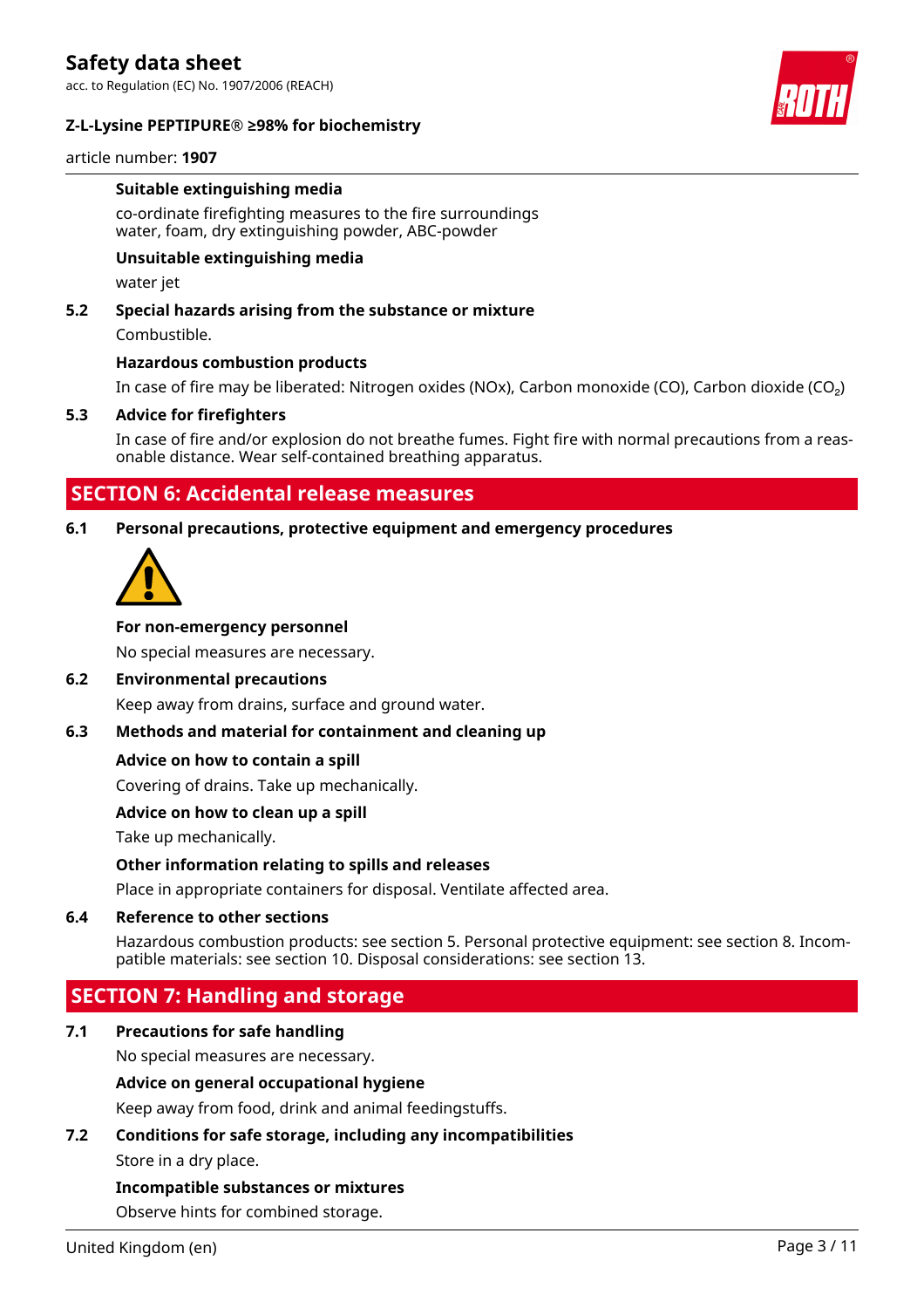acc. to Regulation (EC) No. 1907/2006 (REACH)

#### **Z-L-Lysine PEPTIPURE® ≥98% for biochemistry**



article number: **1907**

#### **Suitable extinguishing media**

co-ordinate firefighting measures to the fire surroundings water, foam, dry extinguishing powder, ABC-powder

#### **Unsuitable extinguishing media**

water jet

#### **5.2 Special hazards arising from the substance or mixture**

Combustible.

#### **Hazardous combustion products**

In case of fire may be liberated: Nitrogen oxides (NOx), Carbon monoxide (CO), Carbon dioxide (CO₂)

#### **5.3 Advice for firefighters**

In case of fire and/or explosion do not breathe fumes. Fight fire with normal precautions from a reasonable distance. Wear self-contained breathing apparatus.

### **SECTION 6: Accidental release measures**

#### **6.1 Personal precautions, protective equipment and emergency procedures**



#### **For non-emergency personnel**

No special measures are necessary.

#### **6.2 Environmental precautions**

Keep away from drains, surface and ground water.

#### **6.3 Methods and material for containment and cleaning up**

#### **Advice on how to contain a spill**

Covering of drains. Take up mechanically.

### **Advice on how to clean up a spill**

Take up mechanically.

#### **Other information relating to spills and releases**

Place in appropriate containers for disposal. Ventilate affected area.

#### **6.4 Reference to other sections**

Hazardous combustion products: see section 5. Personal protective equipment: see section 8. Incompatible materials: see section 10. Disposal considerations: see section 13.

# **SECTION 7: Handling and storage**

### **7.1 Precautions for safe handling**

No special measures are necessary.

#### **Advice on general occupational hygiene**

Keep away from food, drink and animal feedingstuffs.

# **7.2 Conditions for safe storage, including any incompatibilities**

Store in a dry place.

#### **Incompatible substances or mixtures**

Observe hints for combined storage.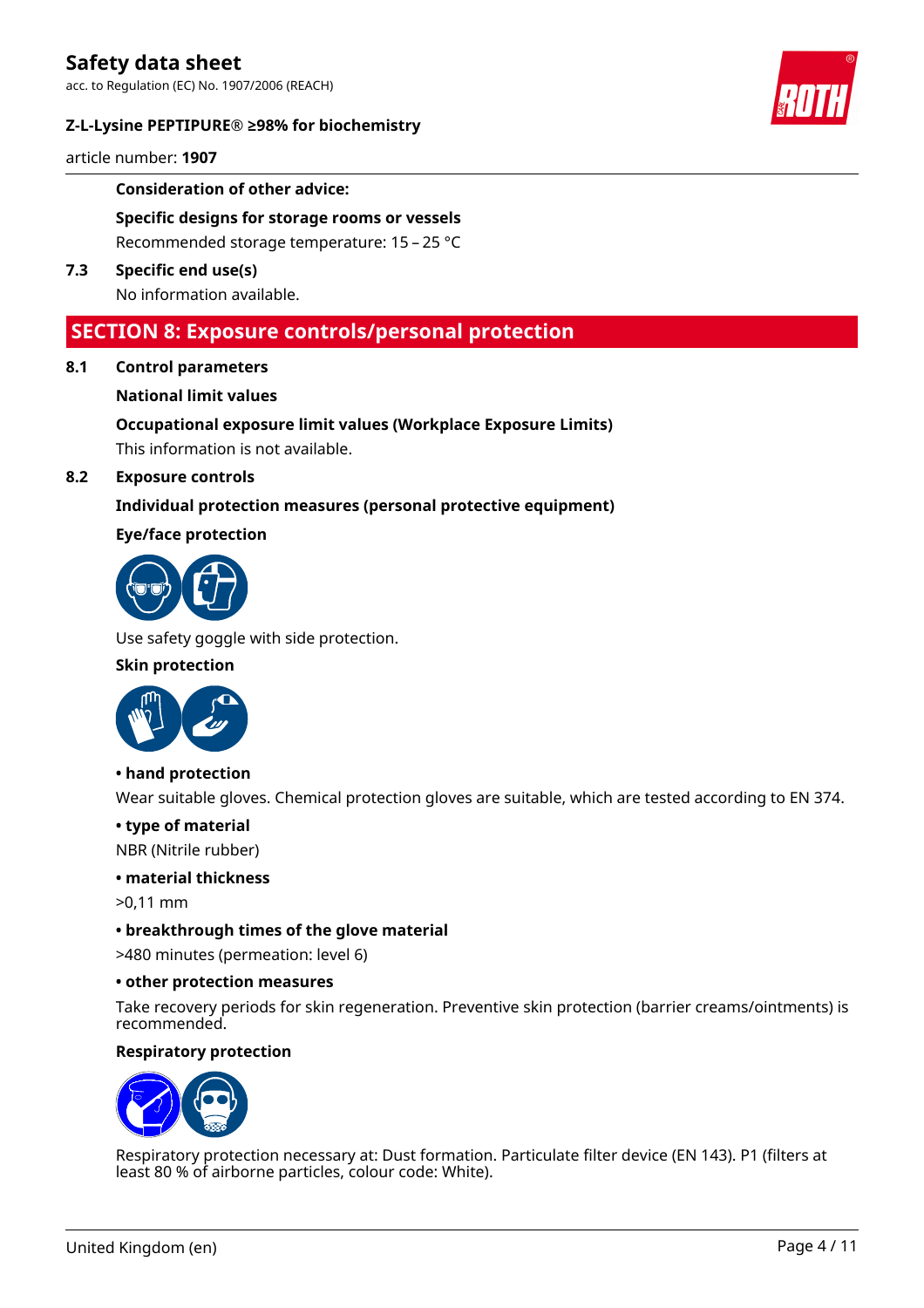acc. to Regulation (EC) No. 1907/2006 (REACH)

#### **Z-L-Lysine PEPTIPURE® ≥98% for biochemistry**



article number: **1907**

#### **Consideration of other advice:**

**Specific designs for storage rooms or vessels** Recommended storage temperature: 15 – 25 °C

**7.3 Specific end use(s)** No information available.

# **SECTION 8: Exposure controls/personal protection**

**8.1 Control parameters**

#### **National limit values**

**Occupational exposure limit values (Workplace Exposure Limits)**

This information is not available.

#### **8.2 Exposure controls**

#### **Individual protection measures (personal protective equipment)**

#### **Eye/face protection**



Use safety goggle with side protection.

#### **Skin protection**



**• hand protection**

Wear suitable gloves. Chemical protection gloves are suitable, which are tested according to EN 374.

#### **• type of material**

NBR (Nitrile rubber)

#### **• material thickness**

>0,11 mm

#### **• breakthrough times of the glove material**

>480 minutes (permeation: level 6)

#### **• other protection measures**

Take recovery periods for skin regeneration. Preventive skin protection (barrier creams/ointments) is recommended.

#### **Respiratory protection**



Respiratory protection necessary at: Dust formation. Particulate filter device (EN 143). P1 (filters at least 80 % of airborne particles, colour code: White).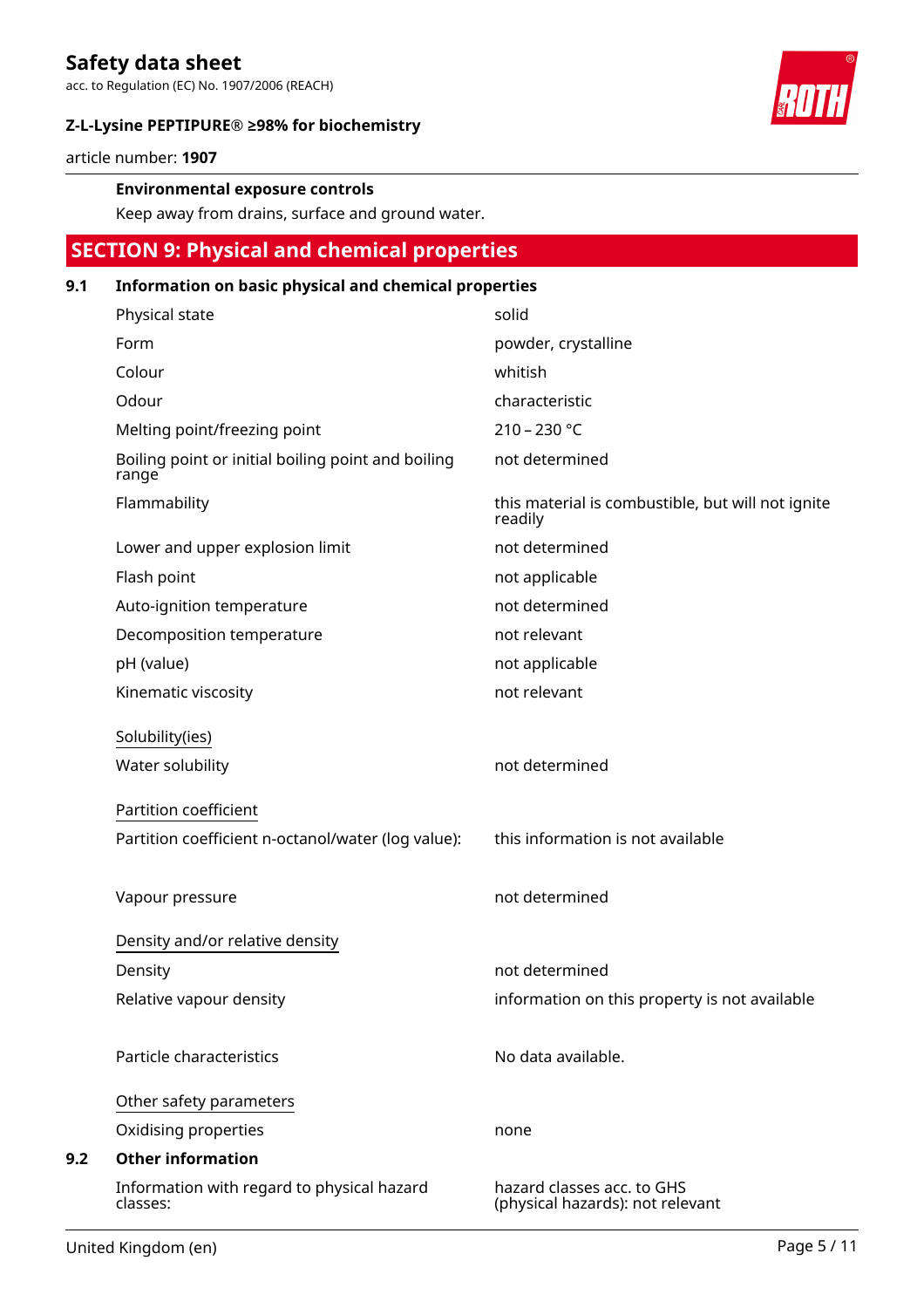acc. to Regulation (EC) No. 1907/2006 (REACH)

### **Z-L-Lysine PEPTIPURE® ≥98% for biochemistry**



article number: **1907**

#### **Environmental exposure controls**

Keep away from drains, surface and ground water.

# **SECTION 9: Physical and chemical properties**

### **9.1 Information on basic physical and chemical properties**

| Physical state                                              | solid                                                          |
|-------------------------------------------------------------|----------------------------------------------------------------|
| Form                                                        | powder, crystalline                                            |
| Colour                                                      | whitish                                                        |
| Odour                                                       | characteristic                                                 |
| Melting point/freezing point                                | $210 - 230 °C$                                                 |
| Boiling point or initial boiling point and boiling<br>range | not determined                                                 |
| Flammability                                                | this material is combustible, but will not ignite<br>readily   |
| Lower and upper explosion limit                             | not determined                                                 |
| Flash point                                                 | not applicable                                                 |
| Auto-ignition temperature                                   | not determined                                                 |
| Decomposition temperature                                   | not relevant                                                   |
| pH (value)                                                  | not applicable                                                 |
| Kinematic viscosity                                         | not relevant                                                   |
| Solubility(ies)                                             |                                                                |
| Water solubility                                            | not determined                                                 |
| Partition coefficient                                       |                                                                |
| Partition coefficient n-octanol/water (log value):          | this information is not available                              |
|                                                             |                                                                |
| Vapour pressure                                             | not determined                                                 |
| Density and/or relative density                             |                                                                |
| Density                                                     | not determined                                                 |
| Relative vapour density                                     | information on this property is not available                  |
|                                                             |                                                                |
| Particle characteristics                                    | No data available.                                             |
| Other safety parameters                                     |                                                                |
| Oxidising properties                                        | none                                                           |
| <b>Other information</b>                                    |                                                                |
| Information with regard to physical hazard<br>classes:      | hazard classes acc. to GHS<br>(physical hazards): not relevant |

**9.2**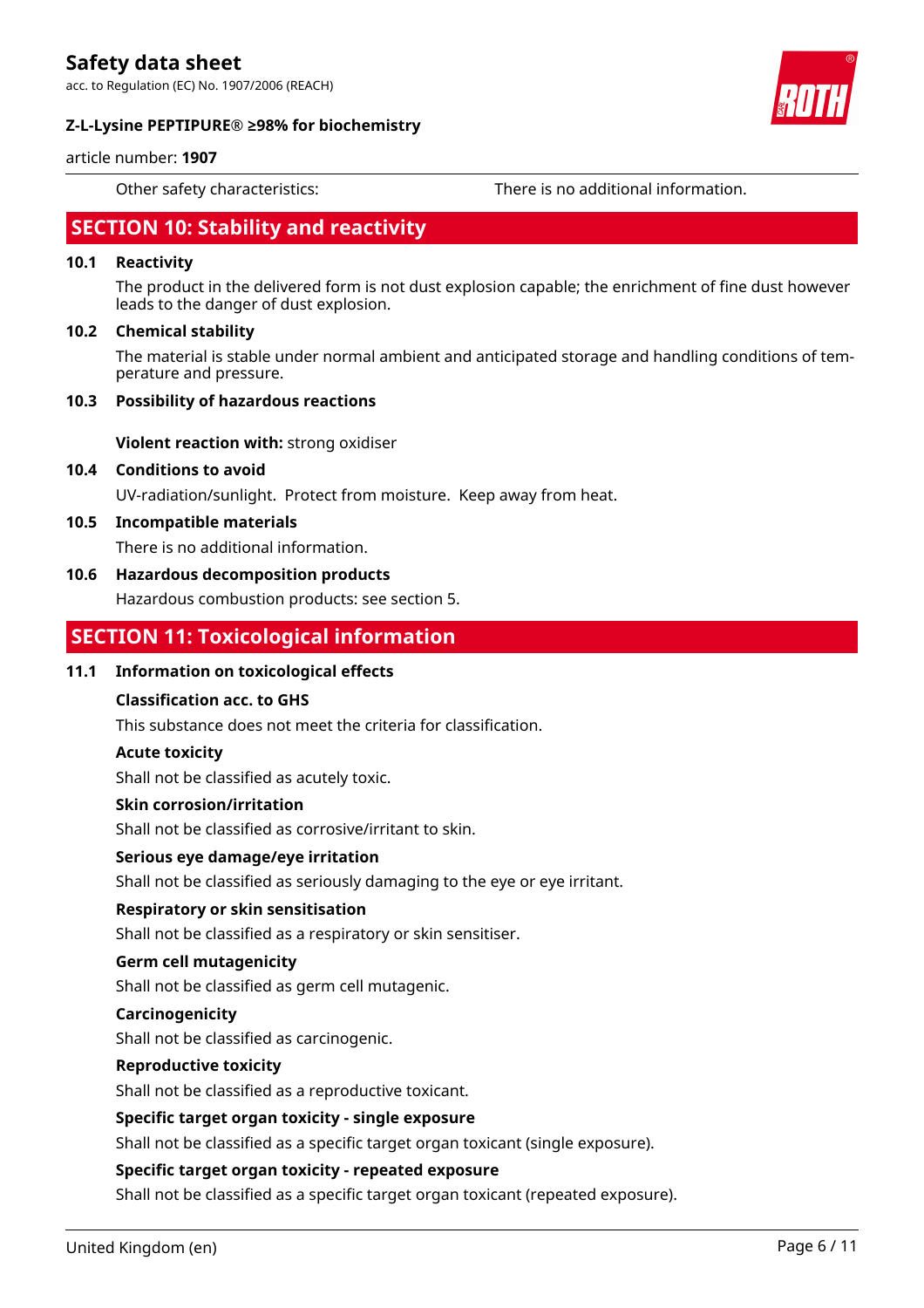acc. to Regulation (EC) No. 1907/2006 (REACH)

#### **Z-L-Lysine PEPTIPURE® ≥98% for biochemistry**



#### article number: **1907**

Other safety characteristics: There is no additional information.

# **SECTION 10: Stability and reactivity**

#### **10.1 Reactivity**

The product in the delivered form is not dust explosion capable; the enrichment of fine dust however leads to the danger of dust explosion.

#### **10.2 Chemical stability**

The material is stable under normal ambient and anticipated storage and handling conditions of temperature and pressure.

#### **10.3 Possibility of hazardous reactions**

**Violent reaction with:** strong oxidiser

**10.4 Conditions to avoid**

UV-radiation/sunlight. Protect from moisture. Keep away from heat.

**10.5 Incompatible materials**

There is no additional information.

#### **10.6 Hazardous decomposition products**

Hazardous combustion products: see section 5.

# **SECTION 11: Toxicological information**

#### **11.1 Information on toxicological effects**

#### **Classification acc. to GHS**

This substance does not meet the criteria for classification.

#### **Acute toxicity**

Shall not be classified as acutely toxic.

#### **Skin corrosion/irritation**

Shall not be classified as corrosive/irritant to skin.

#### **Serious eye damage/eye irritation**

Shall not be classified as seriously damaging to the eye or eye irritant.

#### **Respiratory or skin sensitisation**

Shall not be classified as a respiratory or skin sensitiser.

#### **Germ cell mutagenicity**

Shall not be classified as germ cell mutagenic.

#### **Carcinogenicity**

Shall not be classified as carcinogenic.

#### **Reproductive toxicity**

Shall not be classified as a reproductive toxicant.

#### **Specific target organ toxicity - single exposure**

Shall not be classified as a specific target organ toxicant (single exposure).

#### **Specific target organ toxicity - repeated exposure**

Shall not be classified as a specific target organ toxicant (repeated exposure).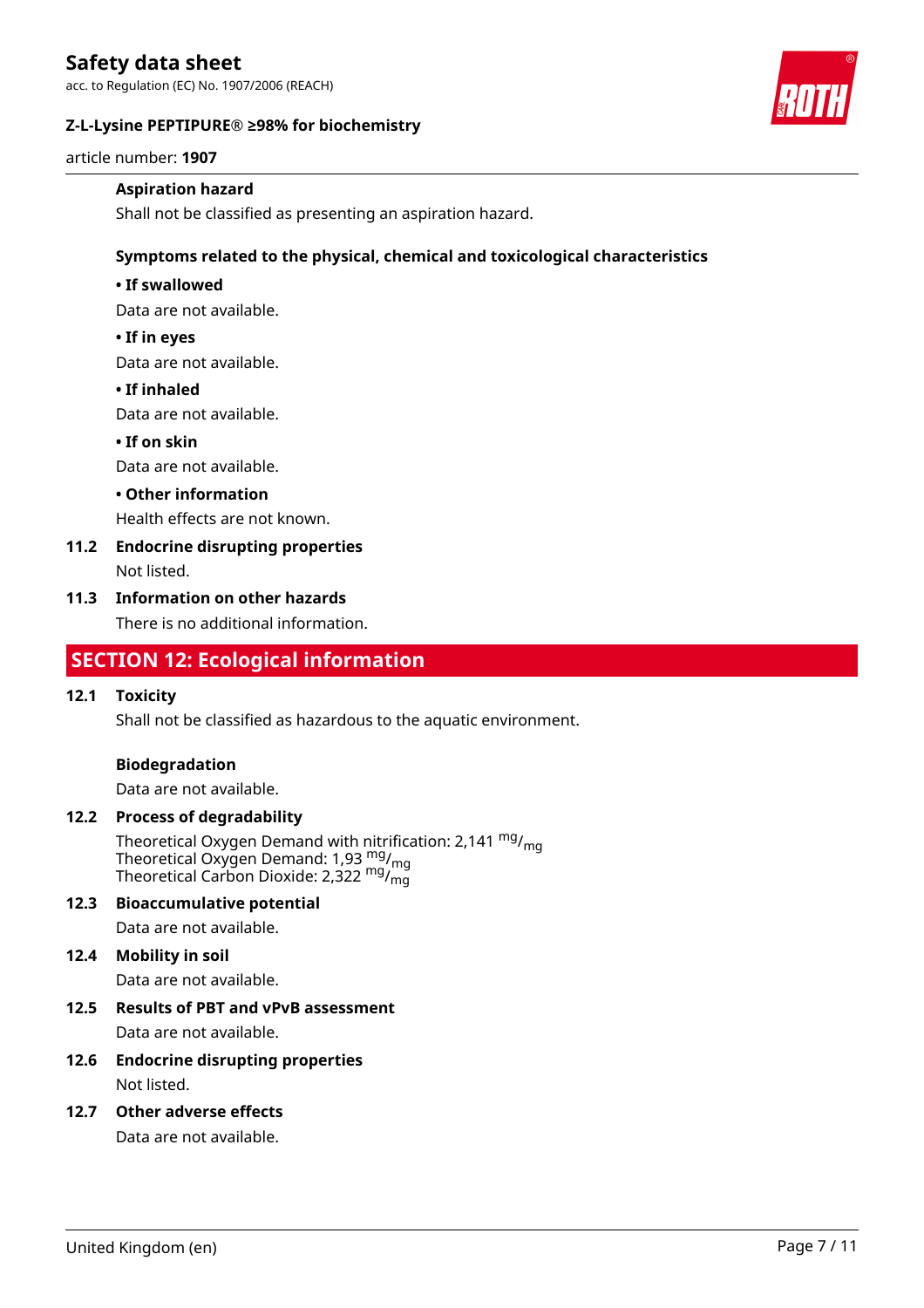acc. to Regulation (EC) No. 1907/2006 (REACH)

#### **Z-L-Lysine PEPTIPURE® ≥98% for biochemistry**



article number: **1907**

#### **Aspiration hazard**

Shall not be classified as presenting an aspiration hazard.

#### **Symptoms related to the physical, chemical and toxicological characteristics**

#### **• If swallowed**

Data are not available.

#### **• If in eyes**

Data are not available.

#### **• If inhaled**

Data are not available.

#### **• If on skin**

Data are not available.

#### **• Other information**

Health effects are not known.

# **11.2 Endocrine disrupting properties**

Not listed.

#### **11.3 Information on other hazards**

There is no additional information.

# **SECTION 12: Ecological information**

#### **12.1 Toxicity**

Shall not be classified as hazardous to the aquatic environment.

#### **Biodegradation**

Data are not available.

#### **12.2 Process of degradability**

Theoretical Oxygen Demand with nitrification: 2,141  $^{\mathsf{mg}}\prime_{\mathsf{mg}}$ Theoretical Oxygen Demand: 1,93  $_{\text{mg}}^{\text{mg}}$ /<sub>mg</sub> Theoretical Carbon Dioxide: 2,322  $\mathrm{^{mg} /_{mg} }$ 

#### **12.3 Bioaccumulative potential**

Data are not available.

#### **12.4 Mobility in soil**

Data are not available.

# **12.5 Results of PBT and vPvB assessment**

Data are not available.

#### **12.6 Endocrine disrupting properties** Not listed.

# **12.7 Other adverse effects**

Data are not available.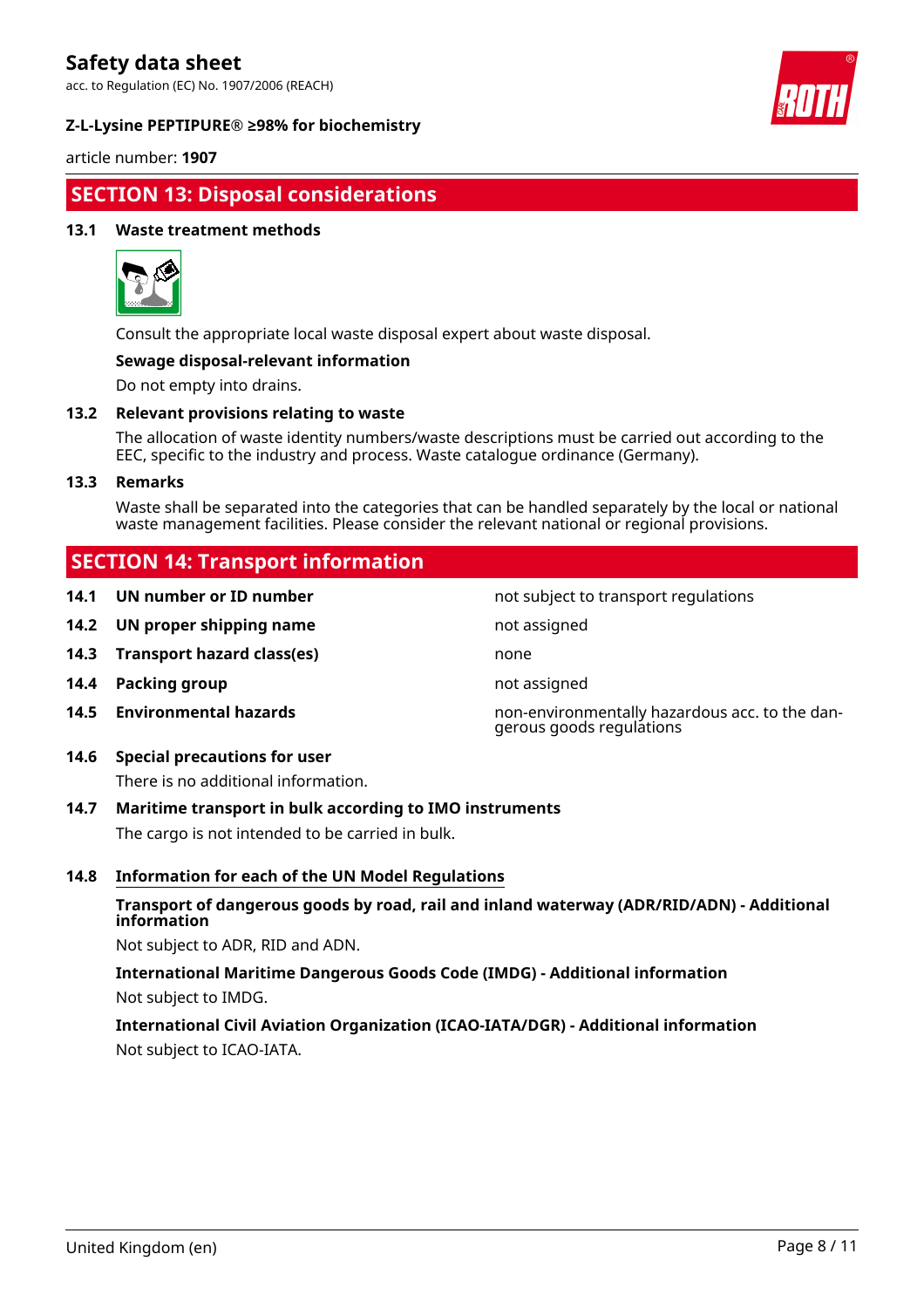acc. to Regulation (EC) No. 1907/2006 (REACH)

#### **Z-L-Lysine PEPTIPURE® ≥98% for biochemistry**



article number: **1907**

# **SECTION 13: Disposal considerations**

#### **13.1 Waste treatment methods**



Consult the appropriate local waste disposal expert about waste disposal.

#### **Sewage disposal-relevant information**

Do not empty into drains.

#### **13.2 Relevant provisions relating to waste**

The allocation of waste identity numbers/waste descriptions must be carried out according to the EEC, specific to the industry and process. Waste catalogue ordinance (Germany).

#### **13.3 Remarks**

Waste shall be separated into the categories that can be handled separately by the local or national waste management facilities. Please consider the relevant national or regional provisions.

not subject to transport regulations

gerous goods regulations

# **SECTION 14: Transport information**

| 14.1 | UN number or ID number |  |  |
|------|------------------------|--|--|
|------|------------------------|--|--|

- **14.2 UN proper shipping name** not assigned
- **14.3 Transport hazard class(es)** none
- **14.4 Packing group not assigned**
- **14.5 Environmental hazards** non-environmentally hazardous acc. to the dan-

# **14.6 Special precautions for user**

There is no additional information.

#### **14.7 Maritime transport in bulk according to IMO instruments**

The cargo is not intended to be carried in bulk.

#### **14.8 Information for each of the UN Model Regulations**

#### **Transport of dangerous goods by road, rail and inland waterway (ADR/RID/ADN) - Additional information**

Not subject to ADR, RID and ADN.

**International Maritime Dangerous Goods Code (IMDG) - Additional information** Not subject to IMDG.

# **International Civil Aviation Organization (ICAO-IATA/DGR) - Additional information** Not subject to ICAO-IATA.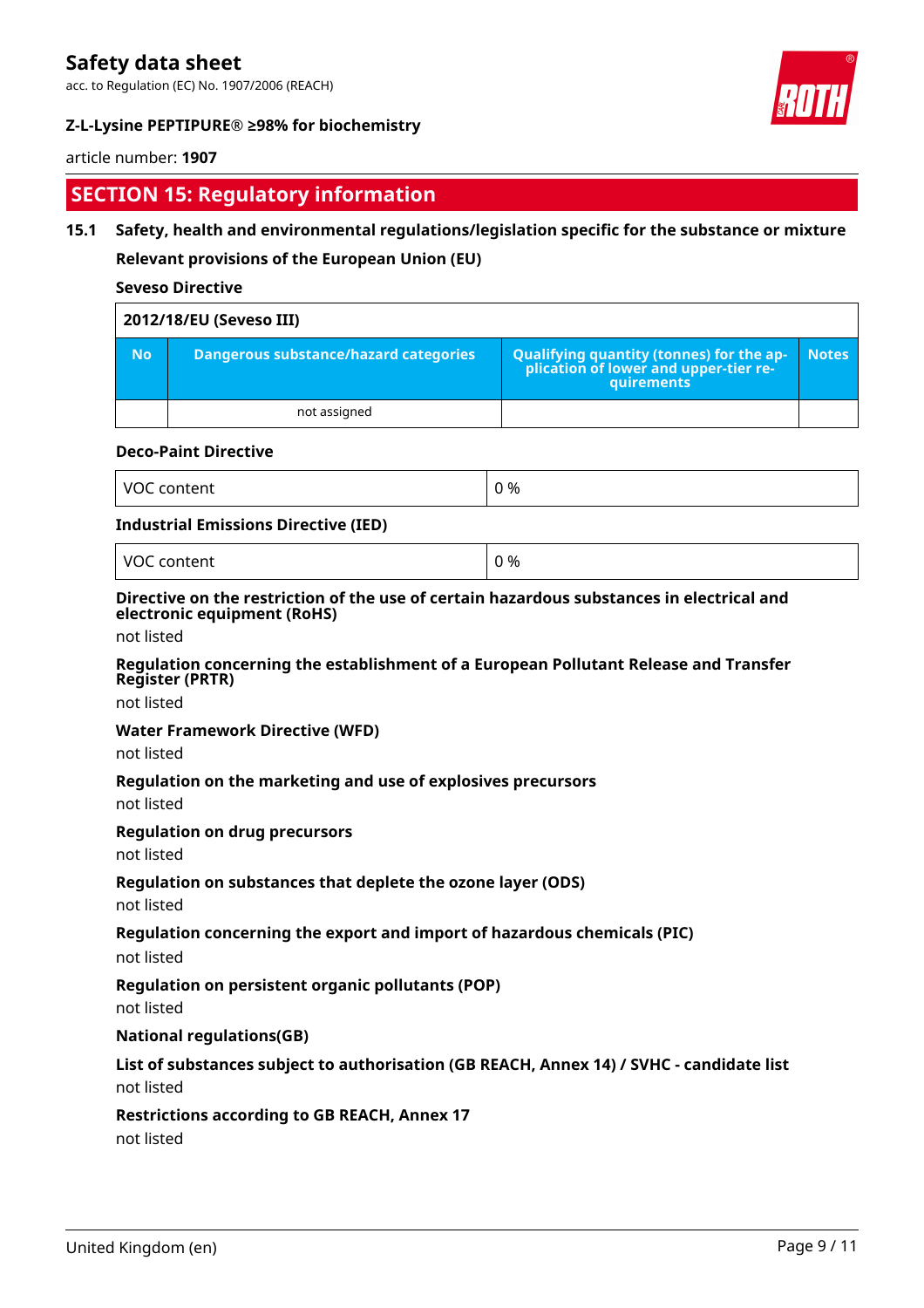acc. to Regulation (EC) No. 1907/2006 (REACH)

### **Z-L-Lysine PEPTIPURE® ≥98% for biochemistry**

### article number: **1907**

# **SECTION 15: Regulatory information**

### **15.1 Safety, health and environmental regulations/legislation specific for the substance or mixture**

**Relevant provisions of the European Union (EU)**

#### **Seveso Directive**

| 2012/18/EU (Seveso III) |                                       |                                                                                            |              |
|-------------------------|---------------------------------------|--------------------------------------------------------------------------------------------|--------------|
| <b>No</b>               | Dangerous substance/hazard categories | Qualifying quantity (tonnes) for the application of lower and upper-tier re-<br>quirements | <b>Notes</b> |
|                         | not assigned                          |                                                                                            |              |

#### **Deco-Paint Directive**

| VO<br>$- - - - - - -$<br><br>tent | 0 % |
|-----------------------------------|-----|
|-----------------------------------|-----|

#### **Industrial Emissions Directive (IED)**

VOC content  $\begin{array}{ccc} \vert & 0 \end{array}$ 

#### **Directive on the restriction of the use of certain hazardous substances in electrical and electronic equipment (RoHS)**

not listed

#### **Regulation concerning the establishment of a European Pollutant Release and Transfer Register (PRTR)**

not listed

#### **Water Framework Directive (WFD)**

not listed

### **Regulation on the marketing and use of explosives precursors**

not listed

### **Regulation on drug precursors**

not listed

### **Regulation on substances that deplete the ozone layer (ODS)**

not listed

### **Regulation concerning the export and import of hazardous chemicals (PIC)**

not listed

### **Regulation on persistent organic pollutants (POP)**

not listed

#### **National regulations(GB)**

# **List of substances subject to authorisation (GB REACH, Annex 14) / SVHC - candidate list**

not listed

### **Restrictions according to GB REACH, Annex 17**

not listed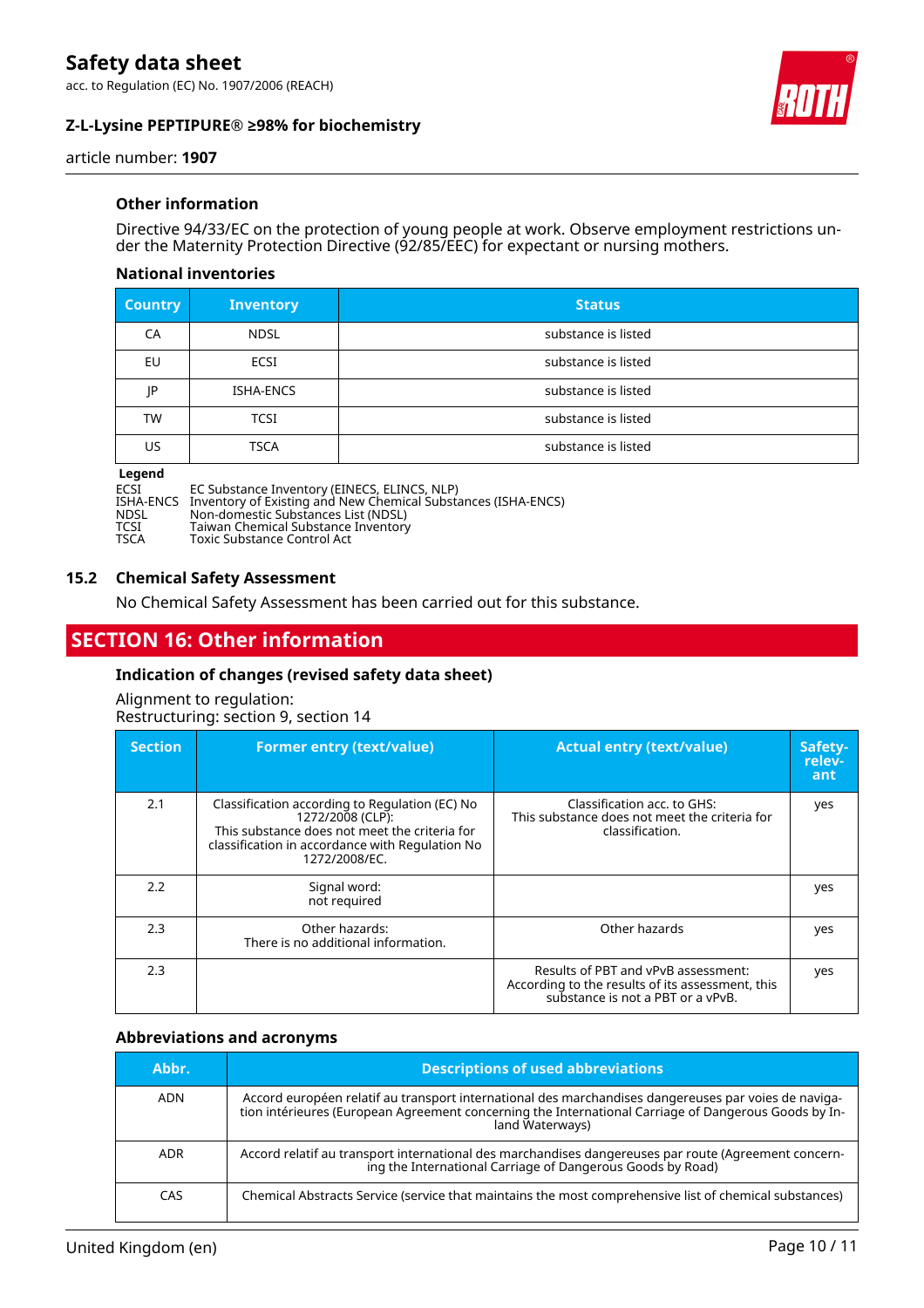acc. to Regulation (EC) No. 1907/2006 (REACH)

### **Z-L-Lysine PEPTIPURE® ≥98% for biochemistry**



article number: **1907**

#### **Other information**

Directive 94/33/EC on the protection of young people at work. Observe employment restrictions under the Maternity Protection Directive (92/85/EEC) for expectant or nursing mothers.

#### **National inventories**

| <b>Country</b> | <b>Inventory</b> | <b>Status</b>       |
|----------------|------------------|---------------------|
| CA             | <b>NDSL</b>      | substance is listed |
| EU             | ECSI             | substance is listed |
| IP             | ISHA-ENCS        | substance is listed |
| <b>TW</b>      | <b>TCSI</b>      | substance is listed |
| US             | <b>TSCA</b>      | substance is listed |

#### **Legend**

| ECSI        | EC Substance Inventory (EINECS, ELINCS, NLP)                            |
|-------------|-------------------------------------------------------------------------|
|             | ISHA-ENCS Inventory of Existing and New Chemical Substances (ISHA-ENCS) |
| <b>NDSL</b> | Non-domestic Substances List (NDSL)                                     |
| TCSI        | Taiwan Chemical Substance Inventory                                     |
| <b>TSCA</b> | Toxic Substance Control Act                                             |

Toxic Substance Control Act

#### **15.2 Chemical Safety Assessment**

No Chemical Safety Assessment has been carried out for this substance.

# **SECTION 16: Other information**

#### **Indication of changes (revised safety data sheet)**

Alignment to regulation: Restructuring: section 9, section 14

| <b>Section</b> | <b>Former entry (text/value)</b>                                                                                                                                                        | <b>Actual entry (text/value)</b>                                                                                             | Safety-<br>relev-<br>ant |
|----------------|-----------------------------------------------------------------------------------------------------------------------------------------------------------------------------------------|------------------------------------------------------------------------------------------------------------------------------|--------------------------|
| 2.1            | Classification according to Regulation (EC) No<br>1272/2008 (CLP):<br>This substance does not meet the criteria for<br>classification in accordance with Regulation No<br>1272/2008/EC. | Classification acc. to GHS:<br>This substance does not meet the criteria for<br>classification.                              | yes                      |
| 2.2            | Signal word:<br>not required                                                                                                                                                            |                                                                                                                              | yes                      |
| 2.3            | Other hazards:<br>There is no additional information.                                                                                                                                   | Other hazards                                                                                                                | yes                      |
| 2.3            |                                                                                                                                                                                         | Results of PBT and vPvB assessment:<br>According to the results of its assessment, this<br>substance is not a PBT or a vPvB. | yes                      |

#### **Abbreviations and acronyms**

| Abbr.      | <b>Descriptions of used abbreviations</b>                                                                                                                                                                                       |
|------------|---------------------------------------------------------------------------------------------------------------------------------------------------------------------------------------------------------------------------------|
| <b>ADN</b> | Accord européen relatif au transport international des marchandises dangereuses par voies de naviga-<br>tion intérieures (European Agreement concerning the International Carriage of Dangerous Goods by In-<br>land Waterways) |
| <b>ADR</b> | Accord relatif au transport international des marchandises dangereuses par route (Agreement concern-<br>ing the International Carriage of Dangerous Goods by Road)                                                              |
| CAS        | Chemical Abstracts Service (service that maintains the most comprehensive list of chemical substances)                                                                                                                          |